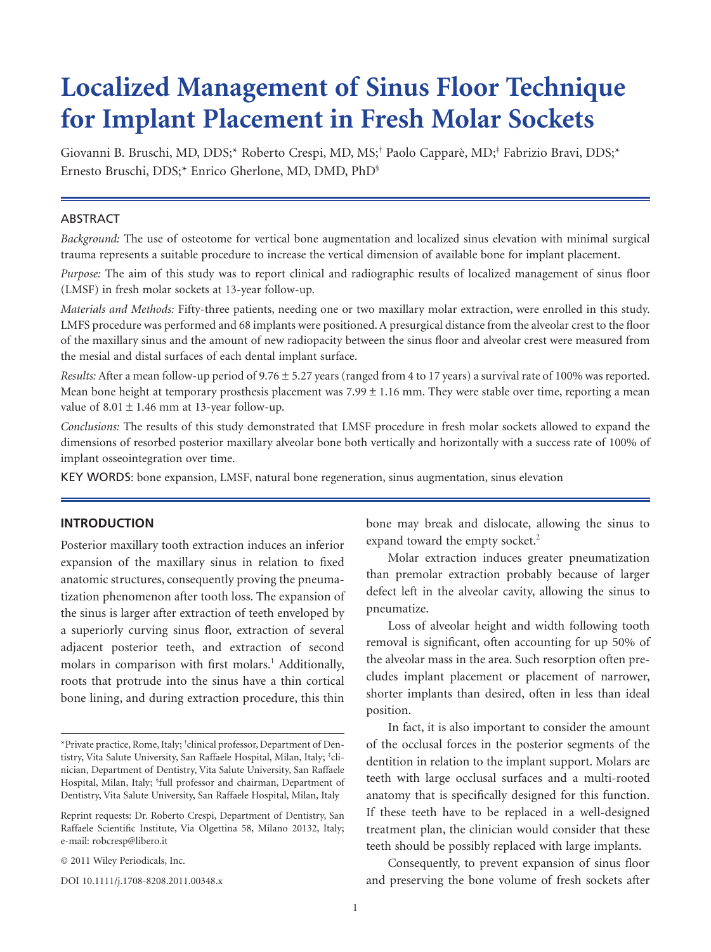# **Localized Management of Sinus Floor Technique for Implant Placement in Fresh Molar Sockets**

Giovanni B. Bruschi, MD, DDS;\* Roberto Crespi, MD, MS;<sup>†</sup> Paolo Capparè, MD;<sup>‡</sup> Fabrizio Bravi, DDS;\* Ernesto Bruschi, DDS;\* Enrico Gherlone, MD, DMD, PhD§

#### ABSTRACT

*Background:* The use of osteotome for vertical bone augmentation and localized sinus elevation with minimal surgical trauma represents a suitable procedure to increase the vertical dimension of available bone for implant placement.

*Purpose:* The aim of this study was to report clinical and radiographic results of localized management of sinus floor (LMSF) in fresh molar sockets at 13-year follow-up.

*Materials and Methods:* Fifty-three patients, needing one or two maxillary molar extraction, were enrolled in this study. LMFS procedure was performed and 68 implants were positioned. A presurgical distance from the alveolar crest to the floor of the maxillary sinus and the amount of new radiopacity between the sinus floor and alveolar crest were measured from the mesial and distal surfaces of each dental implant surface.

*Results:* After a mean follow-up period of 9.76  $\pm$  5.27 years (ranged from 4 to 17 years) a survival rate of 100% was reported. Mean bone height at temporary prosthesis placement was  $7.99 \pm 1.16$  mm. They were stable over time, reporting a mean value of  $8.01 \pm 1.46$  mm at 13-year follow-up.

*Conclusions:* The results of this study demonstrated that LMSF procedure in fresh molar sockets allowed to expand the dimensions of resorbed posterior maxillary alveolar bone both vertically and horizontally with a success rate of 100% of implant osseointegration over time.

KEY WORDS: bone expansion, LMSF, natural bone regeneration, sinus augmentation, sinus elevation

# **INTRODUCTION**

Posterior maxillary tooth extraction induces an inferior expansion of the maxillary sinus in relation to fixed anatomic structures, consequently proving the pneumatization phenomenon after tooth loss. The expansion of the sinus is larger after extraction of teeth enveloped by a superiorly curving sinus floor, extraction of several adjacent posterior teeth, and extraction of second molars in comparison with first molars.<sup>1</sup> Additionally, roots that protrude into the sinus have a thin cortical bone lining, and during extraction procedure, this thin

© 2011 Wiley Periodicals, Inc.

DOI 10.1111/j.1708-8208.2011.00348.x

bone may break and dislocate, allowing the sinus to expand toward the empty socket.<sup>2</sup>

Molar extraction induces greater pneumatization than premolar extraction probably because of larger defect left in the alveolar cavity, allowing the sinus to pneumatize.

Loss of alveolar height and width following tooth removal is significant, often accounting for up 50% of the alveolar mass in the area. Such resorption often precludes implant placement or placement of narrower, shorter implants than desired, often in less than ideal position.

In fact, it is also important to consider the amount of the occlusal forces in the posterior segments of the dentition in relation to the implant support. Molars are teeth with large occlusal surfaces and a multi-rooted anatomy that is specifically designed for this function. If these teeth have to be replaced in a well-designed treatment plan, the clinician would consider that these teeth should be possibly replaced with large implants.

Consequently, to prevent expansion of sinus floor and preserving the bone volume of fresh sockets after

<sup>\*</sup>Private practice, Rome, Italy; † clinical professor, Department of Dentistry, Vita Salute University, San Raffaele Hospital, Milan, Italy; ‡clinician, Department of Dentistry, Vita Salute University, San Raffaele Hospital, Milan, Italy; <sup>§</sup>full professor and chairman, Department of Dentistry, Vita Salute University, San Raffaele Hospital, Milan, Italy

Reprint requests: Dr. Roberto Crespi, Department of Dentistry, San Raffaele Scientific Institute, Via Olgettina 58, Milano 20132, Italy; e-mail: robcresp@libero.it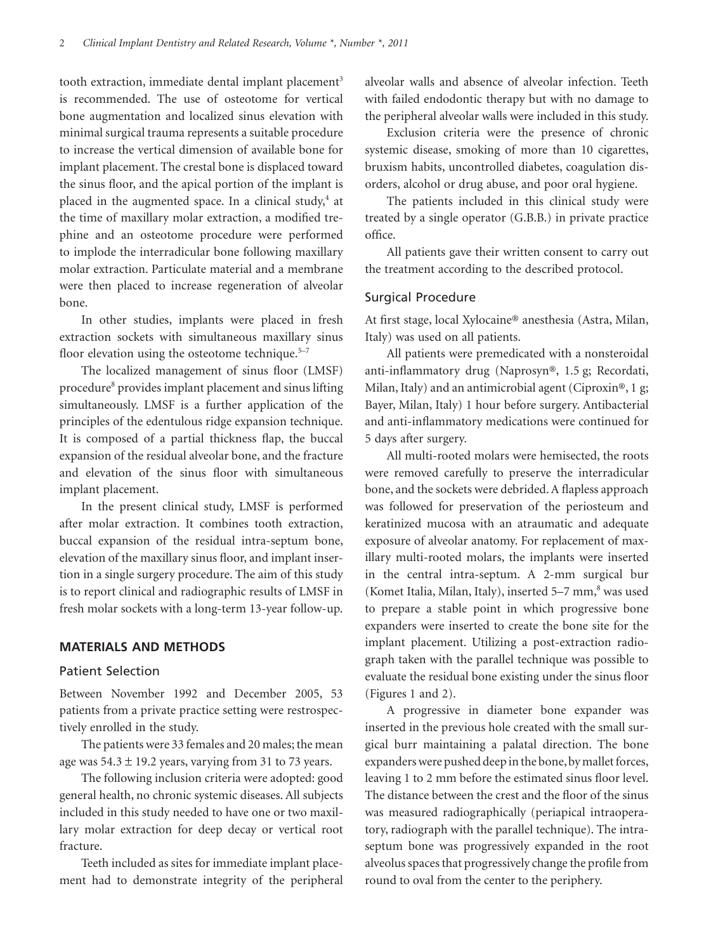tooth extraction, immediate dental implant placement<sup>3</sup> is recommended. The use of osteotome for vertical bone augmentation and localized sinus elevation with minimal surgical trauma represents a suitable procedure to increase the vertical dimension of available bone for implant placement. The crestal bone is displaced toward the sinus floor, and the apical portion of the implant is placed in the augmented space. In a clinical study, $4$  at the time of maxillary molar extraction, a modified trephine and an osteotome procedure were performed to implode the interradicular bone following maxillary molar extraction. Particulate material and a membrane were then placed to increase regeneration of alveolar bone.

In other studies, implants were placed in fresh extraction sockets with simultaneous maxillary sinus floor elevation using the osteotome technique. $5-7$ 

The localized management of sinus floor (LMSF) procedure<sup>8</sup> provides implant placement and sinus lifting simultaneously. LMSF is a further application of the principles of the edentulous ridge expansion technique. It is composed of a partial thickness flap, the buccal expansion of the residual alveolar bone, and the fracture and elevation of the sinus floor with simultaneous implant placement.

In the present clinical study, LMSF is performed after molar extraction. It combines tooth extraction, buccal expansion of the residual intra-septum bone, elevation of the maxillary sinus floor, and implant insertion in a single surgery procedure. The aim of this study is to report clinical and radiographic results of LMSF in fresh molar sockets with a long-term 13-year follow-up.

### **MATERIALS AND METHODS**

# Patient Selection

Between November 1992 and December 2005, 53 patients from a private practice setting were restrospectively enrolled in the study.

The patients were 33 females and 20 males; the mean age was  $54.3 \pm 19.2$  years, varying from 31 to 73 years.

The following inclusion criteria were adopted: good general health, no chronic systemic diseases. All subjects included in this study needed to have one or two maxillary molar extraction for deep decay or vertical root fracture.

Teeth included as sites for immediate implant placement had to demonstrate integrity of the peripheral alveolar walls and absence of alveolar infection. Teeth with failed endodontic therapy but with no damage to the peripheral alveolar walls were included in this study.

Exclusion criteria were the presence of chronic systemic disease, smoking of more than 10 cigarettes, bruxism habits, uncontrolled diabetes, coagulation disorders, alcohol or drug abuse, and poor oral hygiene.

The patients included in this clinical study were treated by a single operator (G.B.B.) in private practice office.

All patients gave their written consent to carry out the treatment according to the described protocol.

#### Surgical Procedure

At first stage, local Xylocaine® anesthesia (Astra, Milan, Italy) was used on all patients.

All patients were premedicated with a nonsteroidal anti-inflammatory drug (Naprosyn®, 1.5 g; Recordati, Milan, Italy) and an antimicrobial agent (Ciproxin®, 1 g; Bayer, Milan, Italy) 1 hour before surgery. Antibacterial and anti-inflammatory medications were continued for 5 days after surgery.

All multi-rooted molars were hemisected, the roots were removed carefully to preserve the interradicular bone, and the sockets were debrided. A flapless approach was followed for preservation of the periosteum and keratinized mucosa with an atraumatic and adequate exposure of alveolar anatomy. For replacement of maxillary multi-rooted molars, the implants were inserted in the central intra-septum. A 2-mm surgical bur (Komet Italia, Milan, Italy), inserted 5-7 mm,<sup>8</sup> was used to prepare a stable point in which progressive bone expanders were inserted to create the bone site for the implant placement. Utilizing a post-extraction radiograph taken with the parallel technique was possible to evaluate the residual bone existing under the sinus floor (Figures 1 and 2).

A progressive in diameter bone expander was inserted in the previous hole created with the small surgical burr maintaining a palatal direction. The bone expanders were pushed deep in the bone, by mallet forces, leaving 1 to 2 mm before the estimated sinus floor level. The distance between the crest and the floor of the sinus was measured radiographically (periapical intraoperatory, radiograph with the parallel technique). The intraseptum bone was progressively expanded in the root alveolus spaces that progressively change the profile from round to oval from the center to the periphery.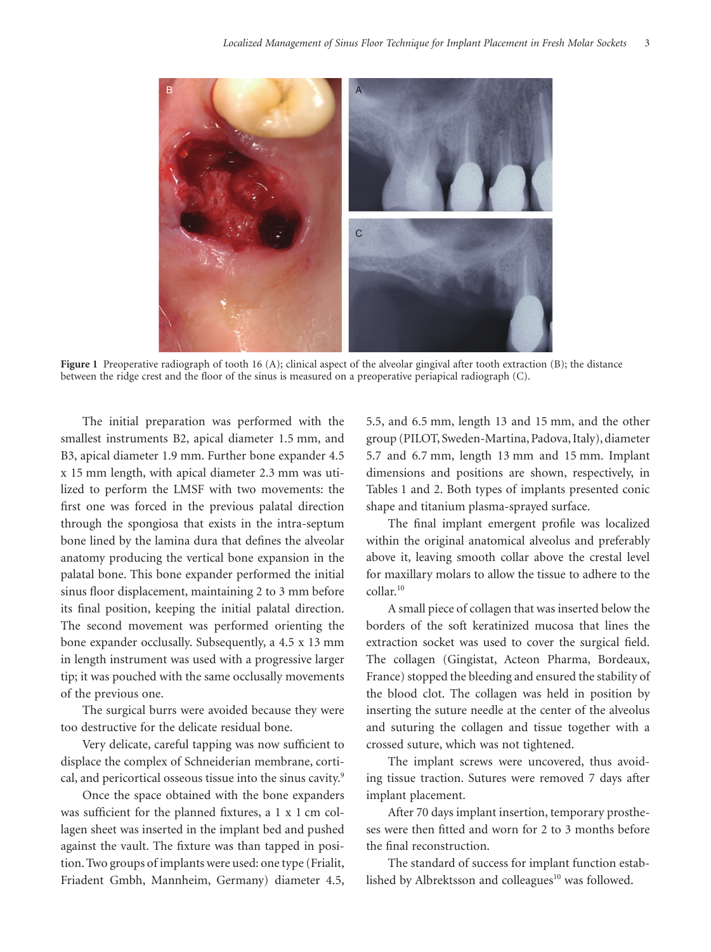

**Figure 1** Preoperative radiograph of tooth 16 (A); clinical aspect of the alveolar gingival after tooth extraction (B); the distance between the ridge crest and the floor of the sinus is measured on a preoperative periapical radiograph (C).

The initial preparation was performed with the smallest instruments B2, apical diameter 1.5 mm, and B3, apical diameter 1.9 mm. Further bone expander 4.5 x 15 mm length, with apical diameter 2.3 mm was utilized to perform the LMSF with two movements: the first one was forced in the previous palatal direction through the spongiosa that exists in the intra-septum bone lined by the lamina dura that defines the alveolar anatomy producing the vertical bone expansion in the palatal bone. This bone expander performed the initial sinus floor displacement, maintaining 2 to 3 mm before its final position, keeping the initial palatal direction. The second movement was performed orienting the bone expander occlusally. Subsequently, a 4.5 x 13 mm in length instrument was used with a progressive larger tip; it was pouched with the same occlusally movements of the previous one.

The surgical burrs were avoided because they were too destructive for the delicate residual bone.

Very delicate, careful tapping was now sufficient to displace the complex of Schneiderian membrane, cortical, and pericortical osseous tissue into the sinus cavity.<sup>9</sup>

Once the space obtained with the bone expanders was sufficient for the planned fixtures, a 1 x 1 cm collagen sheet was inserted in the implant bed and pushed against the vault. The fixture was than tapped in position. Two groups of implants were used: one type (Frialit, Friadent Gmbh, Mannheim, Germany) diameter 4.5, 5.5, and 6.5 mm, length 13 and 15 mm, and the other group (PILOT, Sweden-Martina, Padova, Italy), diameter 5.7 and 6.7 mm, length 13 mm and 15 mm. Implant dimensions and positions are shown, respectively, in Tables 1 and 2. Both types of implants presented conic shape and titanium plasma-sprayed surface.

The final implant emergent profile was localized within the original anatomical alveolus and preferably above it, leaving smooth collar above the crestal level for maxillary molars to allow the tissue to adhere to the collar.10

A small piece of collagen that was inserted below the borders of the soft keratinized mucosa that lines the extraction socket was used to cover the surgical field. The collagen (Gingistat, Acteon Pharma, Bordeaux, France) stopped the bleeding and ensured the stability of the blood clot. The collagen was held in position by inserting the suture needle at the center of the alveolus and suturing the collagen and tissue together with a crossed suture, which was not tightened.

The implant screws were uncovered, thus avoiding tissue traction. Sutures were removed 7 days after implant placement.

After 70 days implant insertion, temporary prostheses were then fitted and worn for 2 to 3 months before the final reconstruction.

The standard of success for implant function established by Albrektsson and colleagues<sup>10</sup> was followed.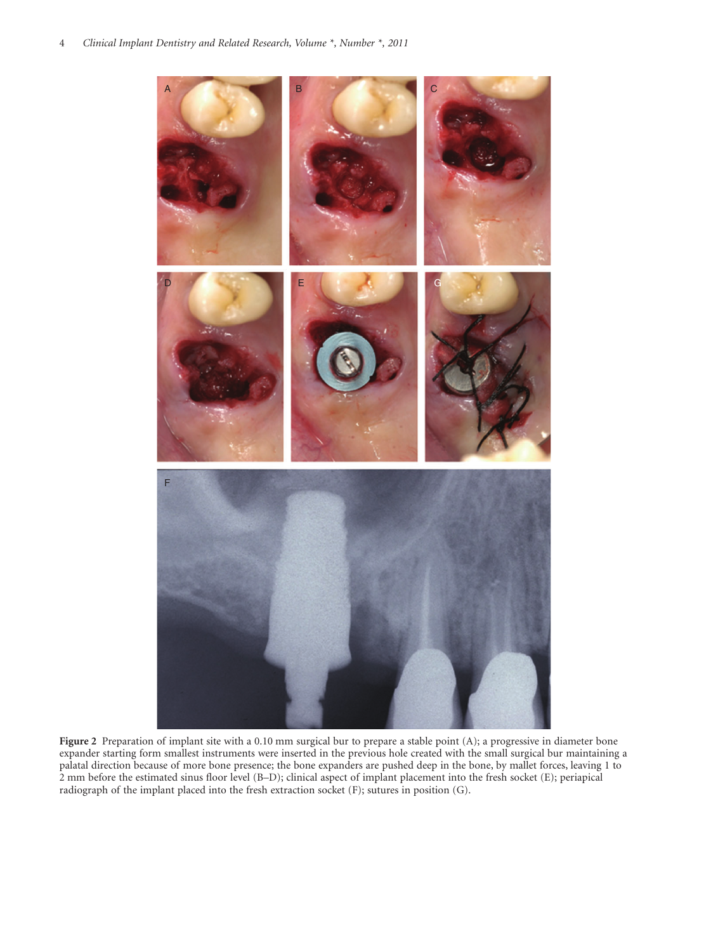

**Figure 2** Preparation of implant site with a 0.10 mm surgical bur to prepare a stable point (A); a progressive in diameter bone expander starting form smallest instruments were inserted in the previous hole created with the small surgical bur maintaining a palatal direction because of more bone presence; the bone expanders are pushed deep in the bone, by mallet forces, leaving 1 to 2 mm before the estimated sinus floor level (B–D); clinical aspect of implant placement into the fresh socket (E); periapical radiograph of the implant placed into the fresh extraction socket (F); sutures in position (G).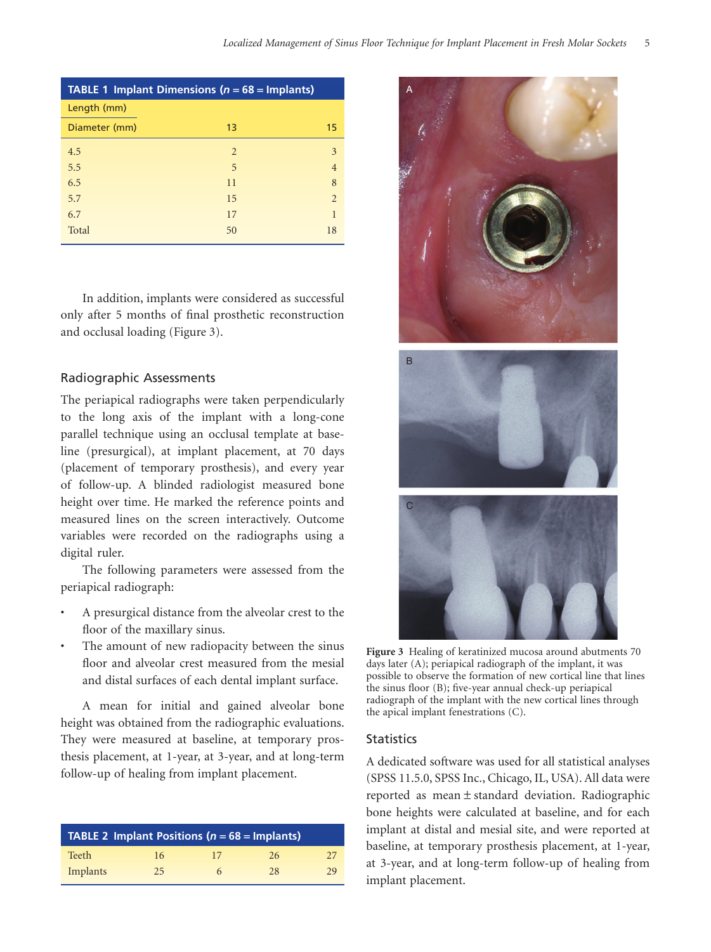| <b>TABLE 1 Implant Dimensions (<math>n = 68</math> = Implants)</b> |                |  |  |  |  |  |
|--------------------------------------------------------------------|----------------|--|--|--|--|--|
|                                                                    |                |  |  |  |  |  |
| 13                                                                 | 15             |  |  |  |  |  |
| 2                                                                  | 3              |  |  |  |  |  |
| 5                                                                  | $\overline{4}$ |  |  |  |  |  |
| 11                                                                 | 8              |  |  |  |  |  |
| 15                                                                 | 2              |  |  |  |  |  |
| 17                                                                 | 1              |  |  |  |  |  |
| 50                                                                 | 18             |  |  |  |  |  |
|                                                                    |                |  |  |  |  |  |

In addition, implants were considered as successful only after 5 months of final prosthetic reconstruction and occlusal loading (Figure 3).

### Radiographic Assessments

The periapical radiographs were taken perpendicularly to the long axis of the implant with a long-cone parallel technique using an occlusal template at baseline (presurgical), at implant placement, at 70 days (placement of temporary prosthesis), and every year of follow-up. A blinded radiologist measured bone height over time. He marked the reference points and measured lines on the screen interactively. Outcome variables were recorded on the radiographs using a digital ruler.

The following parameters were assessed from the periapical radiograph:

- A presurgical distance from the alveolar crest to the floor of the maxillary sinus.
- The amount of new radiopacity between the sinus floor and alveolar crest measured from the mesial and distal surfaces of each dental implant surface.

A mean for initial and gained alveolar bone height was obtained from the radiographic evaluations. They were measured at baseline, at temporary prosthesis placement, at 1-year, at 3-year, and at long-term follow-up of healing from implant placement.

| <b>TABLE 2 Implant Positions (<math>n = 68</math> = Implants)</b> |    |              |    |    |  |
|-------------------------------------------------------------------|----|--------------|----|----|--|
| Teeth                                                             | 16 | 17           | 26 | 27 |  |
| Implants                                                          | 25 | <sub>(</sub> | 28 | 29 |  |





**Figure 3** Healing of keratinized mucosa around abutments 70 days later (A); periapical radiograph of the implant, it was possible to observe the formation of new cortical line that lines the sinus floor (B); five-year annual check-up periapical radiograph of the implant with the new cortical lines through the apical implant fenestrations (C).

### **Statistics**

A dedicated software was used for all statistical analyses (SPSS 11.5.0, SPSS Inc., Chicago, IL, USA). All data were reported as mean  $\pm$  standard deviation. Radiographic bone heights were calculated at baseline, and for each implant at distal and mesial site, and were reported at baseline, at temporary prosthesis placement, at 1-year, at 3-year, and at long-term follow-up of healing from implant placement.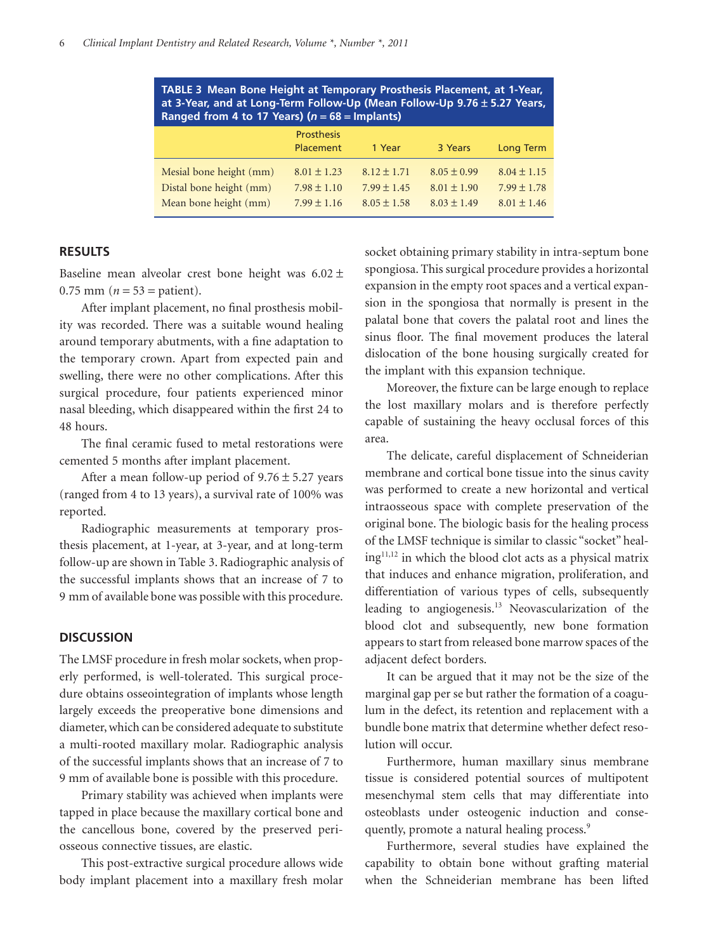| at 3-Year, and at Long-Term Follow-Up (Mean Follow-Up 9.76 $\pm$ 5.27 Years,<br>Ranged from 4 to 17 Years) ( $n = 68$ = Implants) |                                |                 |                 |                 |  |  |  |
|-----------------------------------------------------------------------------------------------------------------------------------|--------------------------------|-----------------|-----------------|-----------------|--|--|--|
|                                                                                                                                   | <b>Prosthesis</b><br>Placement | 1 Year          | 3 Years         | Long Term       |  |  |  |
| Mesial bone height (mm)                                                                                                           | $8.01 \pm 1.23$                | $8.12 \pm 1.71$ | $8.05 \pm 0.99$ | $8.04 \pm 1.15$ |  |  |  |
| Distal bone height (mm)                                                                                                           | $7.98 \pm 1.10$                | $7.99 \pm 1.45$ | $8.01 \pm 1.90$ | $7.99 \pm 1.78$ |  |  |  |
| Mean bone height (mm)                                                                                                             | $7.99 \pm 1.16$                | $8.05 \pm 1.58$ | $8.03 \pm 1.49$ | $8.01 \pm 1.46$ |  |  |  |

**TABLE 3 Mean Bone Height at Temporary Prosthesis Placement, at 1-Year,**

**RESULTS**

Baseline mean alveolar crest bone height was 6.02  $\pm$ 0.75 mm ( $n = 53$  = patient).

After implant placement, no final prosthesis mobility was recorded. There was a suitable wound healing around temporary abutments, with a fine adaptation to the temporary crown. Apart from expected pain and swelling, there were no other complications. After this surgical procedure, four patients experienced minor nasal bleeding, which disappeared within the first 24 to 48 hours.

The final ceramic fused to metal restorations were cemented 5 months after implant placement.

After a mean follow-up period of  $9.76 \pm 5.27$  years (ranged from 4 to 13 years), a survival rate of 100% was reported.

Radiographic measurements at temporary prosthesis placement, at 1-year, at 3-year, and at long-term follow-up are shown in Table 3. Radiographic analysis of the successful implants shows that an increase of 7 to 9 mm of available bone was possible with this procedure.

#### **DISCUSSION**

The LMSF procedure in fresh molar sockets, when properly performed, is well-tolerated. This surgical procedure obtains osseointegration of implants whose length largely exceeds the preoperative bone dimensions and diameter, which can be considered adequate to substitute a multi-rooted maxillary molar. Radiographic analysis of the successful implants shows that an increase of 7 to 9 mm of available bone is possible with this procedure.

Primary stability was achieved when implants were tapped in place because the maxillary cortical bone and the cancellous bone, covered by the preserved periosseous connective tissues, are elastic.

This post-extractive surgical procedure allows wide body implant placement into a maxillary fresh molar

socket obtaining primary stability in intra-septum bone spongiosa. This surgical procedure provides a horizontal expansion in the empty root spaces and a vertical expansion in the spongiosa that normally is present in the palatal bone that covers the palatal root and lines the sinus floor. The final movement produces the lateral dislocation of the bone housing surgically created for the implant with this expansion technique.

Moreover, the fixture can be large enough to replace the lost maxillary molars and is therefore perfectly capable of sustaining the heavy occlusal forces of this area.

The delicate, careful displacement of Schneiderian membrane and cortical bone tissue into the sinus cavity was performed to create a new horizontal and vertical intraosseous space with complete preservation of the original bone. The biologic basis for the healing process of the LMSF technique is similar to classic "socket" healing11,12 in which the blood clot acts as a physical matrix that induces and enhance migration, proliferation, and differentiation of various types of cells, subsequently leading to angiogenesis.<sup>13</sup> Neovascularization of the blood clot and subsequently, new bone formation appears to start from released bone marrow spaces of the adjacent defect borders.

It can be argued that it may not be the size of the marginal gap per se but rather the formation of a coagulum in the defect, its retention and replacement with a bundle bone matrix that determine whether defect resolution will occur.

Furthermore, human maxillary sinus membrane tissue is considered potential sources of multipotent mesenchymal stem cells that may differentiate into osteoblasts under osteogenic induction and consequently, promote a natural healing process.<sup>9</sup>

Furthermore, several studies have explained the capability to obtain bone without grafting material when the Schneiderian membrane has been lifted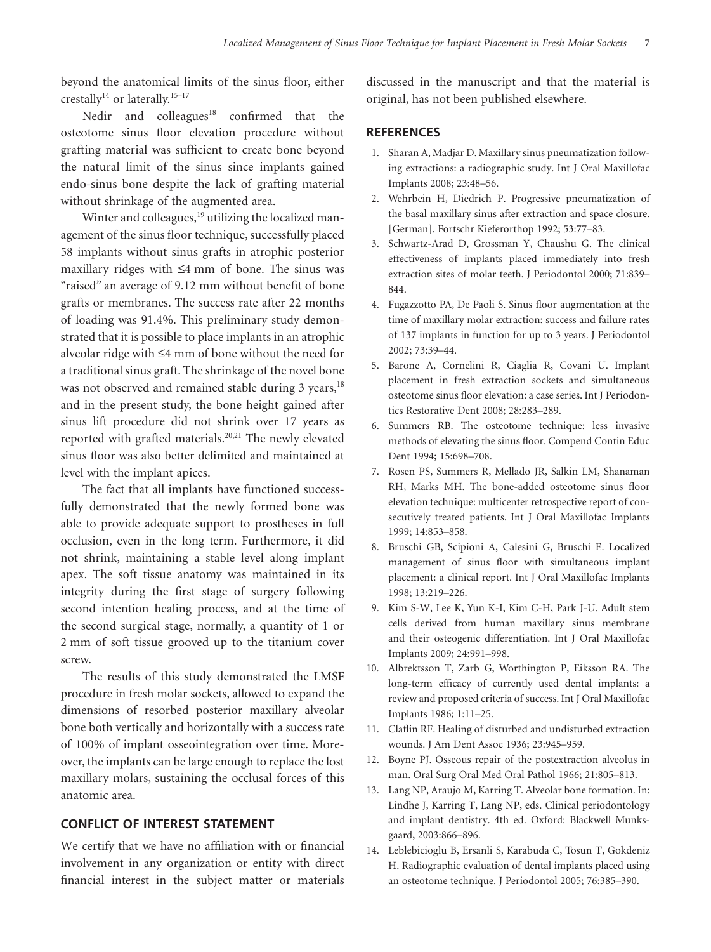beyond the anatomical limits of the sinus floor, either crestally<sup>14</sup> or laterally.<sup>15-17</sup>

Nedir and colleagues $18$  confirmed that the osteotome sinus floor elevation procedure without grafting material was sufficient to create bone beyond the natural limit of the sinus since implants gained endo-sinus bone despite the lack of grafting material without shrinkage of the augmented area.

Winter and colleagues,<sup>19</sup> utilizing the localized management of the sinus floor technique, successfully placed 58 implants without sinus grafts in atrophic posterior maxillary ridges with  $\leq 4$  mm of bone. The sinus was "raised" an average of 9.12 mm without benefit of bone grafts or membranes. The success rate after 22 months of loading was 91.4%. This preliminary study demonstrated that it is possible to place implants in an atrophic alveolar ridge with 24 mm of bone without the need for a traditional sinus graft. The shrinkage of the novel bone was not observed and remained stable during 3 years,<sup>18</sup> and in the present study, the bone height gained after sinus lift procedure did not shrink over 17 years as reported with grafted materials.<sup>20,21</sup> The newly elevated sinus floor was also better delimited and maintained at level with the implant apices.

The fact that all implants have functioned successfully demonstrated that the newly formed bone was able to provide adequate support to prostheses in full occlusion, even in the long term. Furthermore, it did not shrink, maintaining a stable level along implant apex. The soft tissue anatomy was maintained in its integrity during the first stage of surgery following second intention healing process, and at the time of the second surgical stage, normally, a quantity of 1 or 2 mm of soft tissue grooved up to the titanium cover screw.

The results of this study demonstrated the LMSF procedure in fresh molar sockets, allowed to expand the dimensions of resorbed posterior maxillary alveolar bone both vertically and horizontally with a success rate of 100% of implant osseointegration over time. Moreover, the implants can be large enough to replace the lost maxillary molars, sustaining the occlusal forces of this anatomic area.

# **CONFLICT OF INTEREST STATEMENT**

We certify that we have no affiliation with or financial involvement in any organization or entity with direct financial interest in the subject matter or materials discussed in the manuscript and that the material is original, has not been published elsewhere.

#### **REFERENCES**

- 1. Sharan A, Madjar D. Maxillary sinus pneumatization following extractions: a radiographic study. Int J Oral Maxillofac Implants 2008; 23:48–56.
- 2. Wehrbein H, Diedrich P. Progressive pneumatization of the basal maxillary sinus after extraction and space closure. [German]. Fortschr Kieferorthop 1992; 53:77–83.
- 3. Schwartz-Arad D, Grossman Y, Chaushu G. The clinical effectiveness of implants placed immediately into fresh extraction sites of molar teeth. J Periodontol 2000; 71:839– 844.
- 4. Fugazzotto PA, De Paoli S. Sinus floor augmentation at the time of maxillary molar extraction: success and failure rates of 137 implants in function for up to 3 years. J Periodontol 2002; 73:39–44.
- 5. Barone A, Cornelini R, Ciaglia R, Covani U. Implant placement in fresh extraction sockets and simultaneous osteotome sinus floor elevation: a case series. Int J Periodontics Restorative Dent 2008; 28:283–289.
- 6. Summers RB. The osteotome technique: less invasive methods of elevating the sinus floor. Compend Contin Educ Dent 1994; 15:698–708.
- 7. Rosen PS, Summers R, Mellado JR, Salkin LM, Shanaman RH, Marks MH. The bone-added osteotome sinus floor elevation technique: multicenter retrospective report of consecutively treated patients. Int J Oral Maxillofac Implants 1999; 14:853–858.
- 8. Bruschi GB, Scipioni A, Calesini G, Bruschi E. Localized management of sinus floor with simultaneous implant placement: a clinical report. Int J Oral Maxillofac Implants 1998; 13:219–226.
- 9. Kim S-W, Lee K, Yun K-I, Kim C-H, Park J-U. Adult stem cells derived from human maxillary sinus membrane and their osteogenic differentiation. Int J Oral Maxillofac Implants 2009; 24:991–998.
- 10. Albrektsson T, Zarb G, Worthington P, Eiksson RA. The long-term efficacy of currently used dental implants: a review and proposed criteria of success. Int J Oral Maxillofac Implants 1986; 1:11–25.
- 11. Claflin RF. Healing of disturbed and undisturbed extraction wounds. J Am Dent Assoc 1936; 23:945–959.
- 12. Boyne PJ. Osseous repair of the postextraction alveolus in man. Oral Surg Oral Med Oral Pathol 1966; 21:805–813.
- 13. Lang NP, Araujo M, Karring T. Alveolar bone formation. In: Lindhe J, Karring T, Lang NP, eds. Clinical periodontology and implant dentistry. 4th ed. Oxford: Blackwell Munksgaard, 2003:866–896.
- 14. Leblebicioglu B, Ersanli S, Karabuda C, Tosun T, Gokdeniz H. Radiographic evaluation of dental implants placed using an osteotome technique. J Periodontol 2005; 76:385–390.